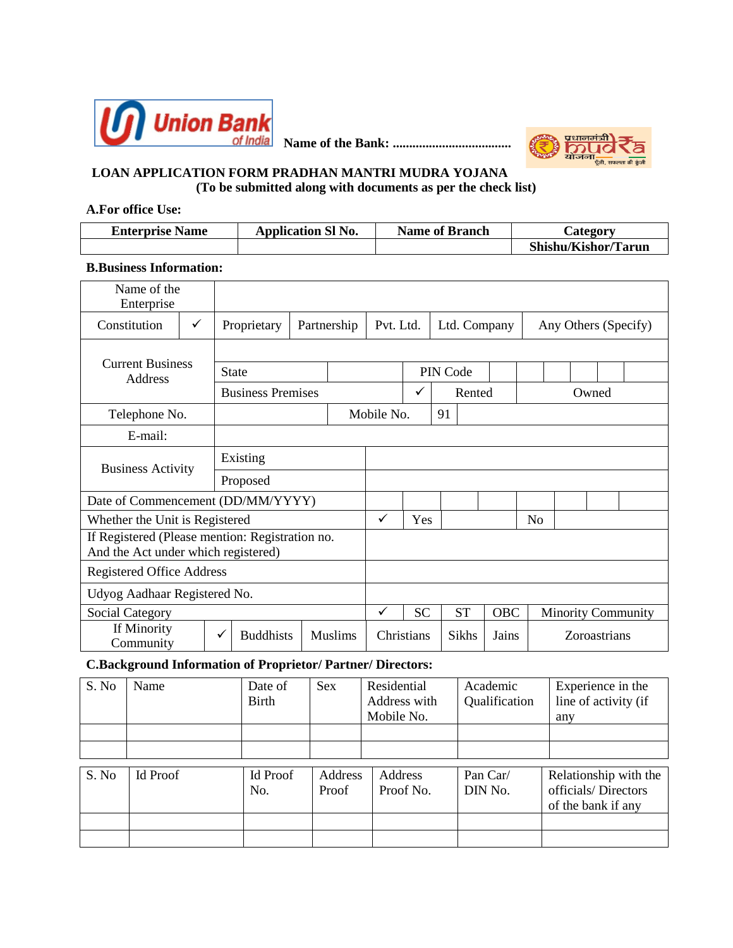

**Name of the Bank: ....................................**



#### **LOAN APPLICATION FORM PRADHAN MANTRI MUDRA YOJANA (To be submitted along with documents as per the check list)**

#### **A.For office Use:**

| <b>Enterprise Name</b> | <b>Application SI No.</b> | <b>Name of Branch</b> | <b>Category</b>     |
|------------------------|---------------------------|-----------------------|---------------------|
|                        |                           |                       | Shishu/Kishor/Tarun |

#### **B.Business Information:**

| Name of the<br>Enterprise                                                              |   |              |                          |             |                |              |           |              |           |            |                      |                           |              |  |
|----------------------------------------------------------------------------------------|---|--------------|--------------------------|-------------|----------------|--------------|-----------|--------------|-----------|------------|----------------------|---------------------------|--------------|--|
| Constitution                                                                           | ✓ |              | Proprietary              | Partnership |                | Pvt. Ltd.    |           | Ltd. Company |           |            | Any Others (Specify) |                           |              |  |
|                                                                                        |   |              |                          |             |                |              |           |              |           |            |                      |                           |              |  |
| <b>Current Business</b><br>Address                                                     |   | <b>State</b> |                          |             |                |              |           | PIN Code     |           |            |                      |                           |              |  |
|                                                                                        |   |              | <b>Business Premises</b> |             |                |              | ✓         |              | Rented    |            |                      |                           | Owned        |  |
| Telephone No.                                                                          |   |              |                          |             |                | Mobile No.   |           | 91           |           |            |                      |                           |              |  |
| E-mail:                                                                                |   |              |                          |             |                |              |           |              |           |            |                      |                           |              |  |
| Existing                                                                               |   |              |                          |             |                |              |           |              |           |            |                      |                           |              |  |
| <b>Business Activity</b>                                                               |   |              | Proposed                 |             |                |              |           |              |           |            |                      |                           |              |  |
| Date of Commencement (DD/MM/YYYY)                                                      |   |              |                          |             |                |              |           |              |           |            |                      |                           |              |  |
| Whether the Unit is Registered                                                         |   |              |                          |             |                | $\checkmark$ | Yes       |              |           |            | No                   |                           |              |  |
| If Registered (Please mention: Registration no.<br>And the Act under which registered) |   |              |                          |             |                |              |           |              |           |            |                      |                           |              |  |
| <b>Registered Office Address</b>                                                       |   |              |                          |             |                |              |           |              |           |            |                      |                           |              |  |
| Udyog Aadhaar Registered No.                                                           |   |              |                          |             |                |              |           |              |           |            |                      |                           |              |  |
| <b>Social Category</b>                                                                 |   |              |                          |             |                | $\checkmark$ | <b>SC</b> |              | <b>ST</b> | <b>OBC</b> |                      | <b>Minority Community</b> |              |  |
| If Minority<br>Community                                                               |   | ✓            | <b>Buddhists</b>         |             | <b>Muslims</b> | Christians   |           |              | Sikhs     | Jains      |                      |                           | Zoroastrians |  |

#### **C.Background Information of Proprietor/ Partner/ Directors:**

| S. No | Name            | Date of<br><b>Birth</b> | <b>Sex</b>       | Residential<br>Address with<br>Mobile No. | Academic<br>Qualification | Experience in the<br>line of activity (if<br>any                   |
|-------|-----------------|-------------------------|------------------|-------------------------------------------|---------------------------|--------------------------------------------------------------------|
|       |                 |                         |                  |                                           |                           |                                                                    |
|       |                 |                         |                  |                                           |                           |                                                                    |
| S. No | <b>Id Proof</b> | <b>Id Proof</b><br>No.  | Address<br>Proof | Address<br>Proof No.                      | Pan Car/<br>DIN No.       | Relationship with the<br>officials/Directors<br>of the bank if any |
|       |                 |                         |                  |                                           |                           |                                                                    |
|       |                 |                         |                  |                                           |                           |                                                                    |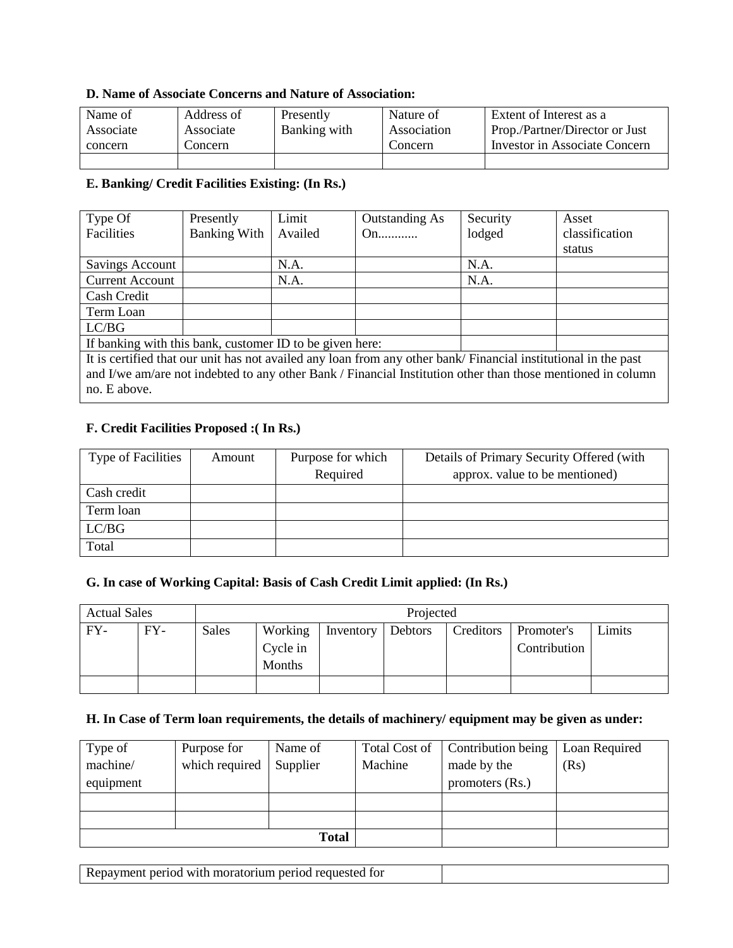#### **D. Name of Associate Concerns and Nature of Association:**

| Name of   | Address of | Presently    | Nature of   | Extent of Interest as a        |
|-----------|------------|--------------|-------------|--------------------------------|
| Associate | Associate  | Banking with | Association | Prop./Partner/Director or Just |
| concern   | Concern    |              | Concern     | Investor in Associate Concern  |
|           |            |              |             |                                |

#### **E. Banking/ Credit Facilities Existing: (In Rs.)**

| Type Of                                                                                                        | Presently           | Limit   | Outstanding As | Security | Asset          |  |  |
|----------------------------------------------------------------------------------------------------------------|---------------------|---------|----------------|----------|----------------|--|--|
| Facilities                                                                                                     | <b>Banking With</b> | Availed | On             | lodged   | classification |  |  |
|                                                                                                                |                     |         |                |          | status         |  |  |
| Savings Account                                                                                                |                     | N.A.    |                | N.A.     |                |  |  |
| <b>Current Account</b>                                                                                         |                     | N.A.    |                | N.A.     |                |  |  |
| Cash Credit                                                                                                    |                     |         |                |          |                |  |  |
| Term Loan                                                                                                      |                     |         |                |          |                |  |  |
| LC/BG                                                                                                          |                     |         |                |          |                |  |  |
| If banking with this bank, customer ID to be given here:                                                       |                     |         |                |          |                |  |  |
| It is certified that our unit has not availed any loan from any other bank/Financial institutional in the past |                     |         |                |          |                |  |  |
| and I/we am/are not indebted to any other Bank / Financial Institution other than those mentioned in column    |                     |         |                |          |                |  |  |
| no. E above.                                                                                                   |                     |         |                |          |                |  |  |

#### **F. Credit Facilities Proposed :( In Rs.)**

| <b>Type of Facilities</b> | Amount | Purpose for which | Details of Primary Security Offered (with |
|---------------------------|--------|-------------------|-------------------------------------------|
|                           |        | Required          | approx. value to be mentioned)            |
| Cash credit               |        |                   |                                           |
| Term loan                 |        |                   |                                           |
| LC/BG                     |        |                   |                                           |
| Total                     |        |                   |                                           |

### **G. In case of Working Capital: Basis of Cash Credit Limit applied: (In Rs.)**

| <b>Actual Sales</b> |       |       | Projected                     |                   |  |           |                            |        |
|---------------------|-------|-------|-------------------------------|-------------------|--|-----------|----------------------------|--------|
| FY-                 | $FY-$ | Sales | Working<br>Cycle in<br>Months | Inventory Debtors |  | Creditors | Promoter's<br>Contribution | Limits |
|                     |       |       |                               |                   |  |           |                            |        |

#### **H. In Case of Term loan requirements, the details of machinery/ equipment may be given as under:**

| Type of   | Purpose for    | Name of  | Total Cost of | Contribution being | Loan Required |
|-----------|----------------|----------|---------------|--------------------|---------------|
| machine/  | which required | Supplier | Machine       | made by the        | (Rs)          |
| equipment |                |          |               | promoters $(Rs.)$  |               |
|           |                |          |               |                    |               |
|           |                |          |               |                    |               |
|           |                | Total    |               |                    |               |

Repayment period with moratorium period requested for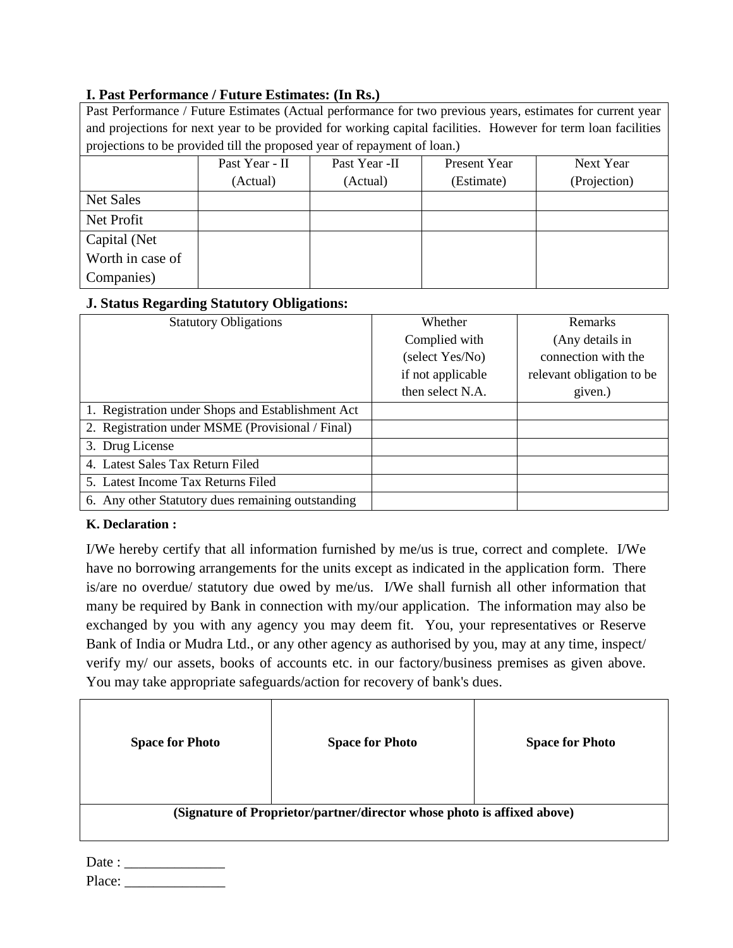### **I. Past Performance / Future Estimates: (In Rs.)**

| Past Performance / Future Estimates (Actual performance for two previous years, estimates for current year |                                                                                                               |               |              |              |  |  |  |
|------------------------------------------------------------------------------------------------------------|---------------------------------------------------------------------------------------------------------------|---------------|--------------|--------------|--|--|--|
|                                                                                                            | and projections for next year to be provided for working capital facilities. However for term loan facilities |               |              |              |  |  |  |
| projections to be provided till the proposed year of repayment of loan.)                                   |                                                                                                               |               |              |              |  |  |  |
|                                                                                                            | Past Year - II                                                                                                | Past Year -II | Present Year | Next Year    |  |  |  |
|                                                                                                            | (Actual)                                                                                                      | (Actual)      | (Estimate)   | (Projection) |  |  |  |
| <b>Net Sales</b>                                                                                           |                                                                                                               |               |              |              |  |  |  |
| Net Profit                                                                                                 |                                                                                                               |               |              |              |  |  |  |
| Capital (Net                                                                                               |                                                                                                               |               |              |              |  |  |  |
| Worth in case of                                                                                           |                                                                                                               |               |              |              |  |  |  |
| Companies)                                                                                                 |                                                                                                               |               |              |              |  |  |  |

### **J. Status Regarding Statutory Obligations:**

| <b>Statutory Obligations</b>                      | Whether           | <b>Remarks</b>            |
|---------------------------------------------------|-------------------|---------------------------|
|                                                   | Complied with     | (Any details in           |
|                                                   | (select Yes/No)   | connection with the       |
|                                                   | if not applicable | relevant obligation to be |
|                                                   | then select N.A.  | given.)                   |
| 1. Registration under Shops and Establishment Act |                   |                           |
| 2. Registration under MSME (Provisional / Final)  |                   |                           |
| 3. Drug License                                   |                   |                           |
| 4. Latest Sales Tax Return Filed                  |                   |                           |
| 5. Latest Income Tax Returns Filed                |                   |                           |
| 6. Any other Statutory dues remaining outstanding |                   |                           |

### **K. Declaration :**

I/We hereby certify that all information furnished by me/us is true, correct and complete. I/We have no borrowing arrangements for the units except as indicated in the application form. There is/are no overdue/ statutory due owed by me/us. I/We shall furnish all other information that many be required by Bank in connection with my/our application. The information may also be exchanged by you with any agency you may deem fit. You, your representatives or Reserve Bank of India or Mudra Ltd., or any other agency as authorised by you, may at any time, inspect/ verify my/ our assets, books of accounts etc. in our factory/business premises as given above. You may take appropriate safeguards/action for recovery of bank's dues.

| <b>Space for Photo</b> | <b>Space for Photo</b>                                                  | <b>Space for Photo</b> |
|------------------------|-------------------------------------------------------------------------|------------------------|
|                        | (Signature of Proprietor/partner/director whose photo is affixed above) |                        |

| Date :    |  |
|-----------|--|
| $Pl_{2C}$ |  |

Place: \_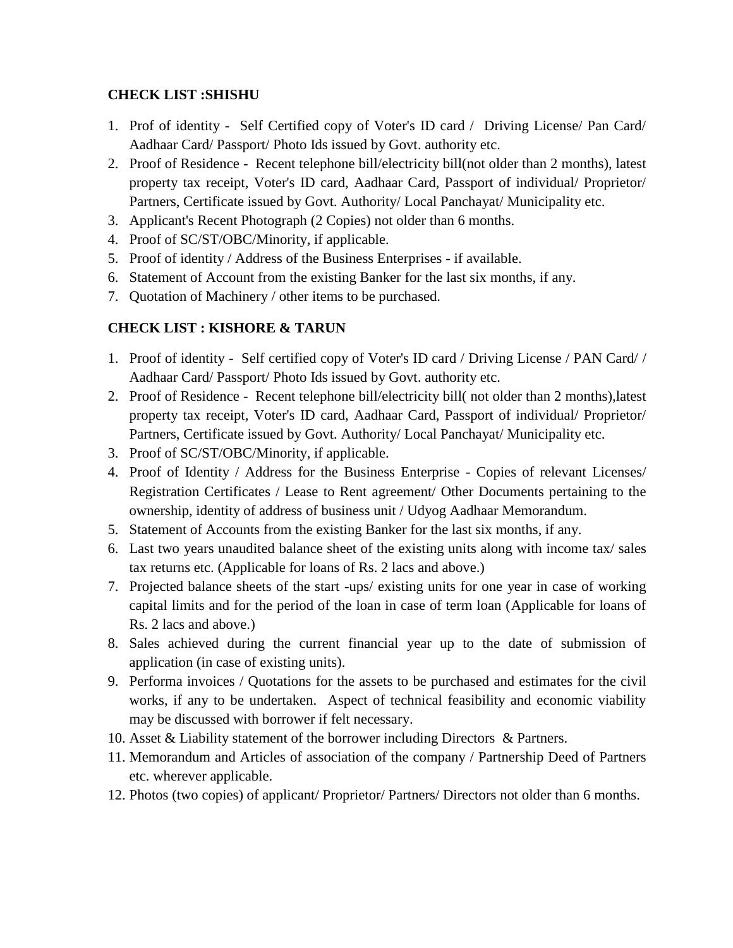### **CHECK LIST :SHISHU**

- 1. Prof of identity Self Certified copy of Voter's ID card / Driving License/ Pan Card/ Aadhaar Card/ Passport/ Photo Ids issued by Govt. authority etc.
- 2. Proof of Residence Recent telephone bill/electricity bill(not older than 2 months), latest property tax receipt, Voter's ID card, Aadhaar Card, Passport of individual/ Proprietor/ Partners, Certificate issued by Govt. Authority/ Local Panchayat/ Municipality etc.
- 3. Applicant's Recent Photograph (2 Copies) not older than 6 months.
- 4. Proof of SC/ST/OBC/Minority, if applicable.
- 5. Proof of identity / Address of the Business Enterprises if available.
- 6. Statement of Account from the existing Banker for the last six months, if any.
- 7. Quotation of Machinery / other items to be purchased.

# **CHECK LIST : KISHORE & TARUN**

- 1. Proof of identity Self certified copy of Voter's ID card / Driving License / PAN Card/ / Aadhaar Card/ Passport/ Photo Ids issued by Govt. authority etc.
- 2. Proof of Residence Recent telephone bill/electricity bill( not older than 2 months),latest property tax receipt, Voter's ID card, Aadhaar Card, Passport of individual/ Proprietor/ Partners, Certificate issued by Govt. Authority/ Local Panchayat/ Municipality etc.
- 3. Proof of SC/ST/OBC/Minority, if applicable.
- 4. Proof of Identity / Address for the Business Enterprise Copies of relevant Licenses/ Registration Certificates / Lease to Rent agreement/ Other Documents pertaining to the ownership, identity of address of business unit / Udyog Aadhaar Memorandum.
- 5. Statement of Accounts from the existing Banker for the last six months, if any.
- 6. Last two years unaudited balance sheet of the existing units along with income tax/ sales tax returns etc. (Applicable for loans of Rs. 2 lacs and above.)
- 7. Projected balance sheets of the start -ups/ existing units for one year in case of working capital limits and for the period of the loan in case of term loan (Applicable for loans of Rs. 2 lacs and above.)
- 8. Sales achieved during the current financial year up to the date of submission of application (in case of existing units).
- 9. Performa invoices / Quotations for the assets to be purchased and estimates for the civil works, if any to be undertaken. Aspect of technical feasibility and economic viability may be discussed with borrower if felt necessary.
- 10. Asset & Liability statement of the borrower including Directors & Partners.
- 11. Memorandum and Articles of association of the company / Partnership Deed of Partners etc. wherever applicable.
- 12. Photos (two copies) of applicant/ Proprietor/ Partners/ Directors not older than 6 months.